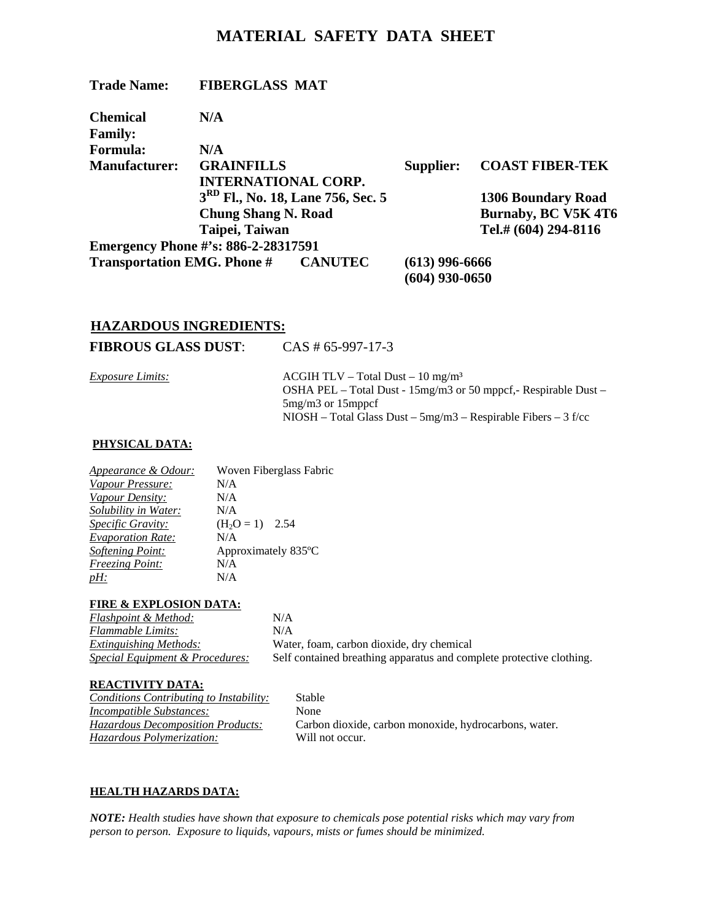# **MATERIAL SAFETY DATA SHEET**

| <b>Trade Name:</b>                         | <b>FIBERGLASS MAT</b>                         |                  |                        |
|--------------------------------------------|-----------------------------------------------|------------------|------------------------|
| <b>Chemical</b>                            | N/A                                           |                  |                        |
| <b>Family:</b>                             |                                               |                  |                        |
| <b>Formula:</b>                            | N/A                                           |                  |                        |
| <b>Manufacturer:</b>                       | <b>GRAINFILLS</b>                             | Supplier:        | <b>COAST FIBER-TEK</b> |
|                                            | <b>INTERNATIONAL CORP.</b>                    |                  |                        |
|                                            | 3 <sup>RD</sup> Fl., No. 18, Lane 756, Sec. 5 |                  | 1306 Boundary Road     |
|                                            | <b>Chung Shang N. Road</b>                    |                  | Burnaby, BC V5K 4T6    |
|                                            | Taipei, Taiwan                                |                  | Tel.# (604) 294-8116   |
|                                            | <b>Emergency Phone #'s: 886-2-28317591</b>    |                  |                        |
| <b>Transportation EMG. Phone # CANUTEC</b> |                                               | $(613)$ 996-6666 |                        |
|                                            |                                               | (604) 930-0650   |                        |

## **HAZARDOUS INGREDIENTS:**

**FIBROUS GLASS DUST**: CAS # 65-997-17-3

| <u>Exposure Limits:</u> | $\triangle$ ACGIH TLV – Total Dust – 10 mg/m <sup>3</sup>          |
|-------------------------|--------------------------------------------------------------------|
|                         | OSHA PEL – Total Dust - $15mg/m3$ or 50 mppcf, - Respirable Dust – |
|                         | $5mg/m3$ or $15mppcf$                                              |
|                         | $NIOSH$ – Total Glass Dust – 5mg/m3 – Respirable Fibers – 3 f/cc   |
|                         |                                                                    |

## **PHYSICAL DATA:**

| <b>Appearance &amp; Odour:</b> | Woven Fiberglass Fabric |
|--------------------------------|-------------------------|
| Vapour Pressure:               | N/A                     |
| Vapour Density:                | N/A                     |
| Solubility in Water:           | N/A                     |
| Specific Gravity:              | $(H2O = 1)$ 2.54        |
| <b>Evaporation Rate:</b>       | N/A                     |
| <b>Softening Point:</b>        | Approximately 835°C     |
| <b>Freezing Point:</b>         | N/A                     |
| <u>pH:</u>                     | N/A                     |
|                                |                         |

### **FIRE & EXPLOSION DATA:**

| <b>Flashpoint &amp; Method:</b>            | N/A    |
|--------------------------------------------|--------|
| Flammable Limits:                          | N/A    |
| <i>Extinguishing Methods:</i>              | Wate   |
| <b>Special Equipment &amp; Procedures:</b> | Self ( |

 $N/A$ *Extinguishing Methods:* Water, foam, carbon dioxide, dry chemical Self contained breathing apparatus and complete protective clothing.

## **REACTIVITY DATA:**

*Conditions Contributing to Instability:* Stable *Incompatible Substances:* None *Hazardous Polymerization:* Will not occur.

*Hazardous Decomposition Products:* Carbon dioxide, carbon monoxide, hydrocarbons, water.

## **HEALTH HAZARDS DATA:**

*NOTE: Health studies have shown that exposure to chemicals pose potential risks which may vary from person to person. Exposure to liquids, vapours, mists or fumes should be minimized.*